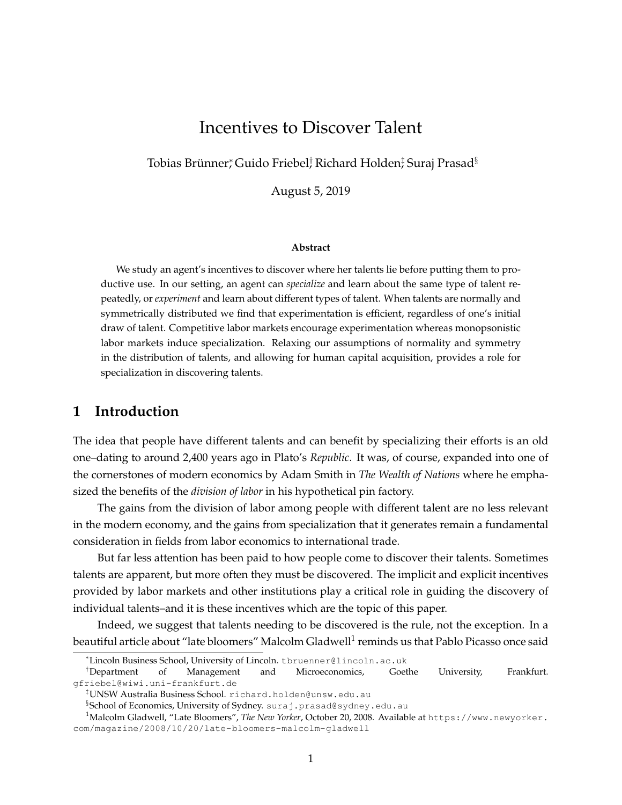# Incentives to Discover Talent

Tobias Brünner,  $\operatorname{Guido}\ \text{Friebel}^{\dagger}_{\prime}\ \text{Richard}\ \text{Holden}^{\ddagger}_{\prime}\ \text{Surai}\ \text{Prasad}^{\S}$ 

August 5, 2019

#### **Abstract**

We study an agent's incentives to discover where her talents lie before putting them to productive use. In our setting, an agent can *specialize* and learn about the same type of talent repeatedly, or *experiment* and learn about different types of talent. When talents are normally and symmetrically distributed we find that experimentation is efficient, regardless of one's initial draw of talent. Competitive labor markets encourage experimentation whereas monopsonistic labor markets induce specialization. Relaxing our assumptions of normality and symmetry in the distribution of talents, and allowing for human capital acquisition, provides a role for specialization in discovering talents.

### **1 Introduction**

The idea that people have different talents and can benefit by specializing their efforts is an old one–dating to around 2,400 years ago in Plato's *Republic*. It was, of course, expanded into one of the cornerstones of modern economics by Adam Smith in *The Wealth of Nations* where he emphasized the benefits of the *division of labor* in his hypothetical pin factory.

The gains from the division of labor among people with different talent are no less relevant in the modern economy, and the gains from specialization that it generates remain a fundamental consideration in fields from labor economics to international trade.

But far less attention has been paid to how people come to discover their talents. Sometimes talents are apparent, but more often they must be discovered. The implicit and explicit incentives provided by labor markets and other institutions play a critical role in guiding the discovery of individual talents–and it is these incentives which are the topic of this paper.

Indeed, we suggest that talents needing to be discovered is the rule, not the exception. In a beautiful article about "late bloomers" Malcolm Gladwell $^{\rm l}$  reminds us that Pablo Picasso once said

<sup>∗</sup>Lincoln Business School, University of Lincoln. tbruenner@lincoln.ac.uk

<sup>†</sup>Department of Management and Microeconomics, Goethe University, Frankfurt. gfriebel@wiwi.uni-frankfurt.de

<sup>‡</sup>UNSW Australia Business School. richard.holden@unsw.edu.au

 $\S$ School of Economics, University of Sydney.  $\texttt{suraj.prasad}\text{\texttt{\texttt{g}}}\text{sydney.edu.au}$ 

<sup>1</sup>Malcolm Gladwell, "Late Bloomers", *The New Yorker*, October 20, 2008. Available at https://www.newyorker. com/magazine/2008/10/20/late-bloomers-malcolm-gladwell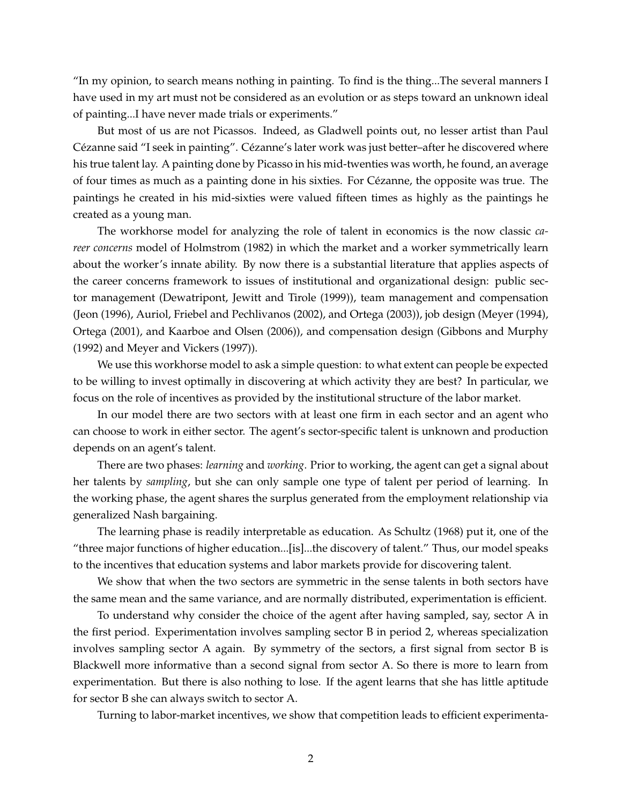"In my opinion, to search means nothing in painting. To find is the thing...The several manners I have used in my art must not be considered as an evolution or as steps toward an unknown ideal of painting...I have never made trials or experiments."

But most of us are not Picassos. Indeed, as Gladwell points out, no lesser artist than Paul Cézanne said "I seek in painting". Cézanne's later work was just better–after he discovered where his true talent lay. A painting done by Picasso in his mid-twenties was worth, he found, an average of four times as much as a painting done in his sixties. For Cezanne, the opposite was true. The ´ paintings he created in his mid-sixties were valued fifteen times as highly as the paintings he created as a young man.

The workhorse model for analyzing the role of talent in economics is the now classic *career concerns* model of Holmstrom (1982) in which the market and a worker symmetrically learn about the worker's innate ability. By now there is a substantial literature that applies aspects of the career concerns framework to issues of institutional and organizational design: public sector management (Dewatripont, Jewitt and Tirole (1999)), team management and compensation (Jeon (1996), Auriol, Friebel and Pechlivanos (2002), and Ortega (2003)), job design (Meyer (1994), Ortega (2001), and Kaarboe and Olsen (2006)), and compensation design (Gibbons and Murphy (1992) and Meyer and Vickers (1997)).

We use this workhorse model to ask a simple question: to what extent can people be expected to be willing to invest optimally in discovering at which activity they are best? In particular, we focus on the role of incentives as provided by the institutional structure of the labor market.

In our model there are two sectors with at least one firm in each sector and an agent who can choose to work in either sector. The agent's sector-specific talent is unknown and production depends on an agent's talent.

There are two phases: *learning* and *working*. Prior to working, the agent can get a signal about her talents by *sampling*, but she can only sample one type of talent per period of learning. In the working phase, the agent shares the surplus generated from the employment relationship via generalized Nash bargaining.

The learning phase is readily interpretable as education. As Schultz (1968) put it, one of the "three major functions of higher education...[is]...the discovery of talent." Thus, our model speaks to the incentives that education systems and labor markets provide for discovering talent.

We show that when the two sectors are symmetric in the sense talents in both sectors have the same mean and the same variance, and are normally distributed, experimentation is efficient.

To understand why consider the choice of the agent after having sampled, say, sector A in the first period. Experimentation involves sampling sector B in period 2, whereas specialization involves sampling sector A again. By symmetry of the sectors, a first signal from sector B is Blackwell more informative than a second signal from sector A. So there is more to learn from experimentation. But there is also nothing to lose. If the agent learns that she has little aptitude for sector B she can always switch to sector A.

Turning to labor-market incentives, we show that competition leads to efficient experimenta-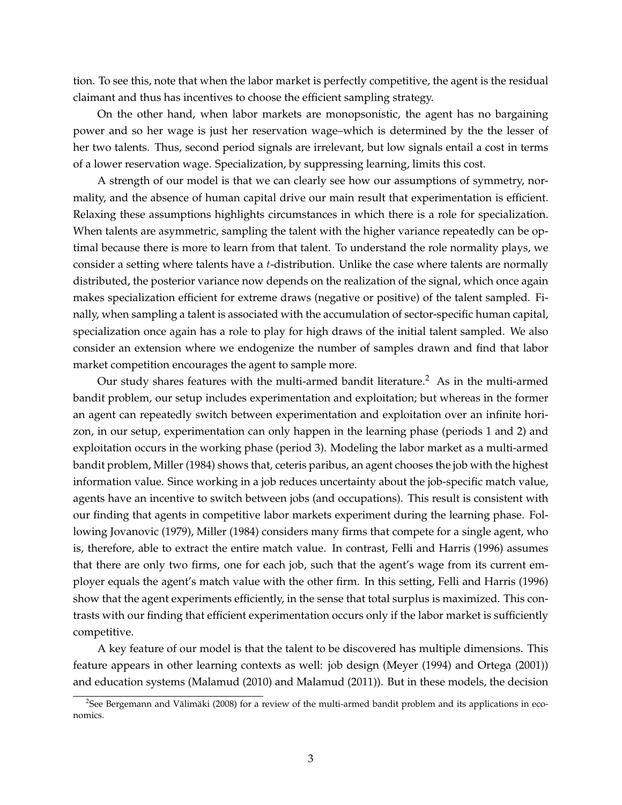tion. To see this, note that when the labor market is perfectly competitive, the agent is the residual claimant and thus has incentives to choose the efficient sampling strategy.

On the other hand, when labor markets are monopsonistic, the agent has no bargaining power and so her wage is just her reservation wage–which is determined by the the lesser of her two talents. Thus, second period signals are irrelevant, but low signals entail a cost in terms of a lower reservation wage. Specialization, by suppressing learning, limits this cost.

A strength of our model is that we can clearly see how our assumptions of symmetry, normality, and the absence of human capital drive our main result that experimentation is efficient. Relaxing these assumptions highlights circumstances in which there is a role for specialization. When talents are asymmetric, sampling the talent with the higher variance repeatedly can be optimal because there is more to learn from that talent. To understand the role normality plays, we consider a setting where talents have a  $t$ -distribution. Unlike the case where talents are normally distributed, the posterior variance now depends on the realization of the signal, which once again makes specialization efficient for extreme draws (negative or positive) of the talent sampled. Finally, when sampling a talent is associated with the accumulation of sector-specific human capital, specialization once again has a role to play for high draws of the initial talent sampled. We also consider an extension where we endogenize the number of samples drawn and find that labor market competition encourages the agent to sample more.

Our study shares features with the multi-armed bandit literature.<sup>2</sup> As in the multi-armed bandit problem, our setup includes experimentation and exploitation; but whereas in the former an agent can repeatedly switch between experimentation and exploitation over an infinite horizon, in our setup, experimentation can only happen in the learning phase (periods 1 and 2) and exploitation occurs in the working phase (period 3). Modeling the labor market as a multi-armed bandit problem, Miller (1984) shows that, ceteris paribus, an agent chooses the job with the highest information value. Since working in a job reduces uncertainty about the job-specific match value, agents have an incentive to switch between jobs (and occupations). This result is consistent with our finding that agents in competitive labor markets experiment during the learning phase. Following Jovanovic (1979), Miller (1984) considers many firms that compete for a single agent, who is, therefore, able to extract the entire match value. In contrast, Felli and Harris (1996) assumes that there are only two firms, one for each job, such that the agent's wage from its current employer equals the agent's match value with the other firm. In this setting, Felli and Harris (1996) show that the agent experiments efficiently, in the sense that total surplus is maximized. This contrasts with our finding that efficient experimentation occurs only if the labor market is sufficiently competitive.

A key feature of our model is that the talent to be discovered has multiple dimensions. This feature appears in other learning contexts as well: job design (Meyer (1994) and Ortega (2001)) and education systems (Malamud (2010) and Malamud (2011)). But in these models, the decision

<sup>&</sup>lt;sup>2</sup>See Bergemann and Välimäki (2008) for a review of the multi-armed bandit problem and its applications in economics.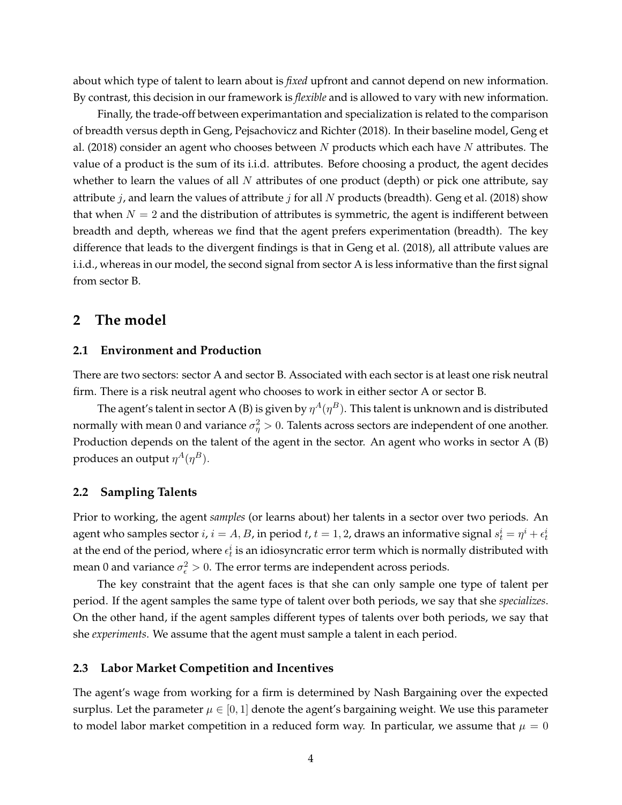about which type of talent to learn about is *fixed* upfront and cannot depend on new information. By contrast, this decision in our framework is *flexible* and is allowed to vary with new information.

Finally, the trade-off between experimantation and specialization is related to the comparison of breadth versus depth in Geng, Pejsachovicz and Richter (2018). In their baseline model, Geng et al. (2018) consider an agent who chooses between N products which each have N attributes. The value of a product is the sum of its i.i.d. attributes. Before choosing a product, the agent decides whether to learn the values of all  $N$  attributes of one product (depth) or pick one attribute, say attribute  $j$ , and learn the values of attribute  $j$  for all  $N$  products (breadth). Geng et al. (2018) show that when  $N = 2$  and the distribution of attributes is symmetric, the agent is indifferent between breadth and depth, whereas we find that the agent prefers experimentation (breadth). The key difference that leads to the divergent findings is that in Geng et al. (2018), all attribute values are i.i.d., whereas in our model, the second signal from sector A is less informative than the first signal from sector B.

### **2 The model**

#### **2.1 Environment and Production**

There are two sectors: sector A and sector B. Associated with each sector is at least one risk neutral firm. There is a risk neutral agent who chooses to work in either sector A or sector B.

The agent's talent in sector A (B) is given by  $\eta^A(\eta^B).$  This talent is unknown and is distributed normally with mean  $0$  and variance  $\sigma_\eta^2>0.$  Talents across sectors are independent of one another. Production depends on the talent of the agent in the sector. An agent who works in sector A (B) produces an output  $\eta^A(\eta^B).$ 

#### **2.2 Sampling Talents**

Prior to working, the agent *samples* (or learns about) her talents in a sector over two periods. An agent who samples sector  $i$ ,  $i=A,B$ , in period  $t$ ,  $t=1,2$ , draws an informative signal  $s_t^i=\eta^i+\epsilon_t^i$ at the end of the period, where  $\epsilon_t^i$  is an idiosyncratic error term which is normally distributed with mean 0 and variance  $\sigma_{\epsilon}^2 > 0$ . The error terms are independent across periods.

The key constraint that the agent faces is that she can only sample one type of talent per period. If the agent samples the same type of talent over both periods, we say that she *specializes*. On the other hand, if the agent samples different types of talents over both periods, we say that she *experiments*. We assume that the agent must sample a talent in each period.

#### **2.3 Labor Market Competition and Incentives**

The agent's wage from working for a firm is determined by Nash Bargaining over the expected surplus. Let the parameter  $\mu \in [0,1]$  denote the agent's bargaining weight. We use this parameter to model labor market competition in a reduced form way. In particular, we assume that  $\mu = 0$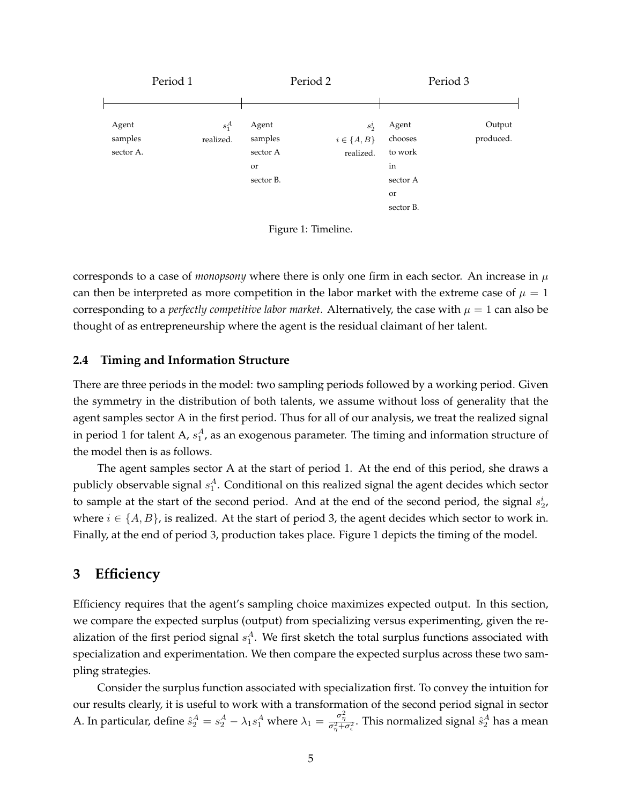

Figure 1: Timeline.

corresponds to a case of *monopsony* where there is only one firm in each sector. An increase in  $\mu$ can then be interpreted as more competition in the labor market with the extreme case of  $\mu = 1$ corresponding to a *perfectly competitive labor market*. Alternatively, the case with  $\mu = 1$  can also be thought of as entrepreneurship where the agent is the residual claimant of her talent.

#### **2.4 Timing and Information Structure**

There are three periods in the model: two sampling periods followed by a working period. Given the symmetry in the distribution of both talents, we assume without loss of generality that the agent samples sector A in the first period. Thus for all of our analysis, we treat the realized signal in period 1 for talent A,  $s_1^A$ , as an exogenous parameter. The timing and information structure of the model then is as follows.

The agent samples sector A at the start of period 1. At the end of this period, she draws a publicly observable signal  $s_1^A$ . Conditional on this realized signal the agent decides which sector to sample at the start of the second period. And at the end of the second period, the signal  $s_2^i$ , where  $i \in \{A, B\}$ , is realized. At the start of period 3, the agent decides which sector to work in. Finally, at the end of period 3, production takes place. Figure 1 depicts the timing of the model.

## **3 Efficiency**

Efficiency requires that the agent's sampling choice maximizes expected output. In this section, we compare the expected surplus (output) from specializing versus experimenting, given the realization of the first period signal  $s_1^A$ . We first sketch the total surplus functions associated with specialization and experimentation. We then compare the expected surplus across these two sampling strategies.

Consider the surplus function associated with specialization first. To convey the intuition for our results clearly, it is useful to work with a transformation of the second period signal in sector A. In particular, define  $\hat{s}_2^A = s_2^A - \lambda_1 s_1^A$  where  $\lambda_1 = \frac{\sigma_\eta^2}{\sigma_\eta^2 + \sigma_\epsilon^2}$ . This normalized signal  $\hat{s}_2^A$  has a mean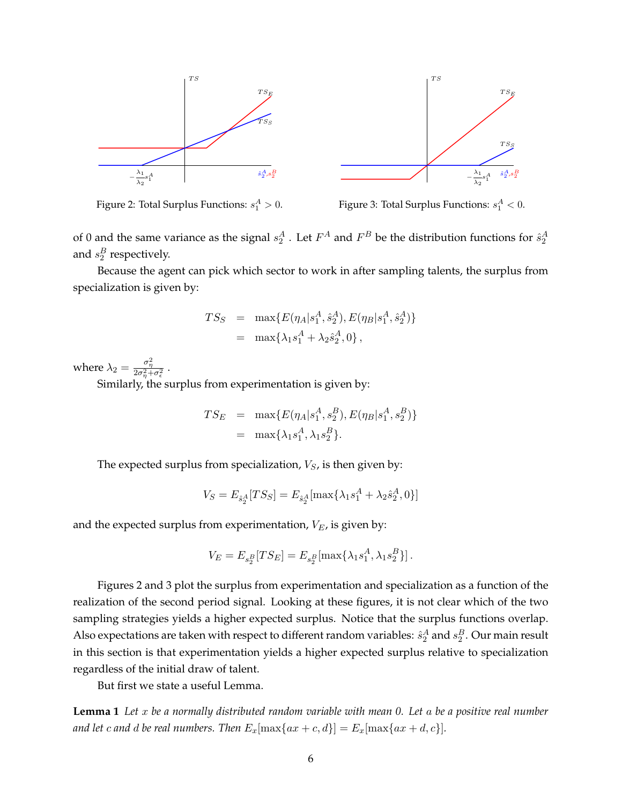

Figure 2: Total Surplus Functions:  $s_1^A > 0$ .

Figure 3: Total Surplus Functions:  $s_1^A < 0$ .

of 0 and the same variance as the signal  $s_2^A$  . Let  $F^A$  and  $F^B$  be the distribution functions for  $\hat{s}_2^A$ and  $s_2^B$  respectively.

Because the agent can pick which sector to work in after sampling talents, the surplus from specialization is given by:

$$
TS_S = \max \{ E(\eta_A | s_1^A, \hat{s}_2^A), E(\eta_B | s_1^A, \hat{s}_2^A) \}
$$
  
= 
$$
\max \{ \lambda_1 s_1^A + \lambda_2 \hat{s}_2^A, 0 \},
$$

where  $\lambda_2 = \frac{\sigma_\eta^2}{2\sigma_\eta^2+\sigma_\epsilon^2}$  .

Similarly, the surplus from experimentation is given by:

$$
TS_E = \max\{E(\eta_A|s_1^A, s_2^B), E(\eta_B|s_1^A, s_2^B)\}
$$
  
= 
$$
\max\{\lambda_1 s_1^A, \lambda_1 s_2^B\}.
$$

The expected surplus from specialization,  $V_S$ , is then given by:

$$
V_S = E_{\hat{s}_2^A}[TS_S] = E_{\hat{s}_2^A}[\max\{\lambda_1 s_1^A + \lambda_2 \hat{s}_2^A, 0\}]
$$

and the expected surplus from experimentation,  $V_E$ , is given by:

$$
V_E = E_{s_2^B}[TS_E] = E_{s_2^B}[\max{\{\lambda_1 s_1^A, \lambda_1 s_2^B\}}].
$$

Figures 2 and 3 plot the surplus from experimentation and specialization as a function of the realization of the second period signal. Looking at these figures, it is not clear which of the two sampling strategies yields a higher expected surplus. Notice that the surplus functions overlap. Also expectations are taken with respect to different random variables:  $\hat{s}_2^A$  and  $s_2^B$ . Our main result in this section is that experimentation yields a higher expected surplus relative to specialization regardless of the initial draw of talent.

But first we state a useful Lemma.

**Lemma 1** *Let* x *be a normally distributed random variable with mean 0. Let* a *be a positive real number and let c and d be real numbers. Then*  $E_x$ [ $max\{ax + c, d\}$ ] =  $E_x$ [ $max\{ax + d, c\}$ ].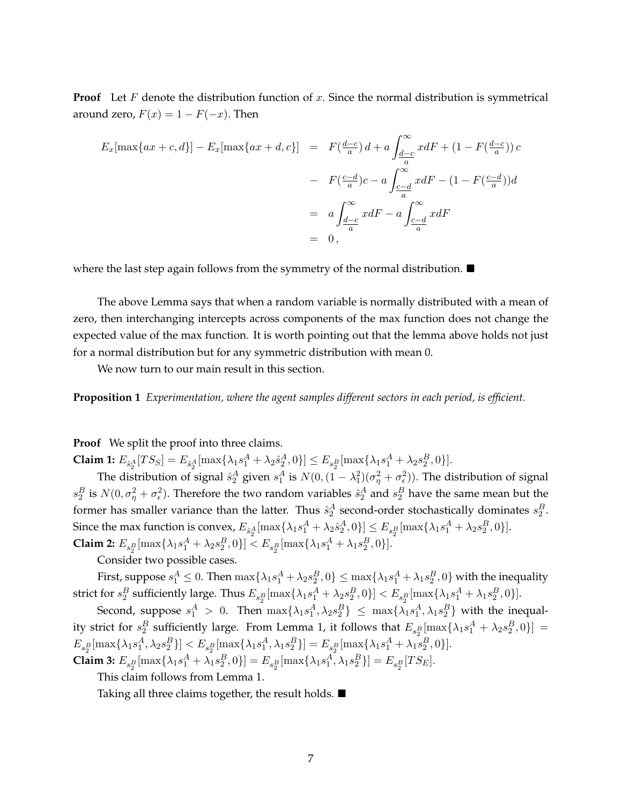**Proof** Let F denote the distribution function of x. Since the normal distribution is symmetrical around zero,  $F(x) = 1 - F(-x)$ . Then

$$
E_x[\max\{ax+c,d\}] - E_x[\max\{ax+d,c\}] = F(\frac{d-c}{a})d + a \int_{\frac{d-c}{a}}^{\infty} x dF + (1 - F(\frac{d-c}{a}))c
$$
  

$$
- F(\frac{c-d}{a})c - a \int_{\frac{c-d}{a}}^{\infty} x dF - (1 - F(\frac{c-d}{a}))d
$$
  

$$
= a \int_{\frac{d-c}{a}}^{\infty} x dF - a \int_{\frac{c-d}{a}}^{\infty} x dF
$$
  

$$
= 0,
$$

where the last step again follows from the symmetry of the normal distribution.  $\blacksquare$ 

The above Lemma says that when a random variable is normally distributed with a mean of zero, then interchanging intercepts across components of the max function does not change the expected value of the max function. It is worth pointing out that the lemma above holds not just for a normal distribution but for any symmetric distribution with mean 0.

We now turn to our main result in this section.

**Proposition 1** *Experimentation, where the agent samples different sectors in each period, is efficient.*

**Proof** We split the proof into three claims.

**Claim 1:**  $E_{\hat{s}_2^A}[TS_S] = E_{\hat{s}_2^A}[\max\{\lambda_1 s_1^A + \lambda_2 \hat{s}_2^A, 0\}] \le E_{s_2^B}[\max\{\lambda_1 s_1^A + \lambda_2 s_2^B, 0\}].$ 

The distribution of signal  $\hat{s}_2^A$  given  $s_1^A$  is  $N(0, (1 - \lambda_1^2)(\sigma_\eta^2 + \sigma_\epsilon^2))$ . The distribution of signal  $s_2^B$  is  $N(0, \sigma_\eta^2 + \sigma_\epsilon^2)$ . Therefore the two random variables  $\hat{s}_2^A$  and  $s_2^B$  have the same mean but the former has smaller variance than the latter. Thus  $\hat{s}_2^A$  second-order stochastically dominates  $s_2^B$ . Since the max function is convex,  $E_{\hat{s}^A_2}[\max\{\lambda_1s^A_1+\lambda_2\hat{s}^A_2,0\}]\leq E_{s^B_2}[\max\{\lambda_1s^A_1+\lambda_2s^B_2,0\}].$ **Claim 2:**  $E_{s_2^B}[\max{\{\lambda_1 s_1^A + \lambda_2 s_2^B, 0\}}] < E_{s_2^B}[\max{\{\lambda_1 s_1^A + \lambda_1 s_2^B, 0\}}].$ 

Consider two possible cases.

First, suppose  $s_1^A \leq 0$ . Then  $\max\{\lambda_1s_1^A+\lambda_2s_2^B,0\} \leq \max\{\lambda_1s_1^A+\lambda_1s_2^B,0\}$  with the inequality strict for  $s_2^B$  sufficiently large. Thus  $E_{s_2^B}[\max\{\lambda_1s_1^A+\lambda_2s_2^B,0\}] < E_{s_2^B}[\max\{\lambda_1s_1^A+\lambda_1s_2^B,0\}]$ .

Second, suppose  $s_1^A > 0$ . Then  $\max\{\lambda_1 s_1^A, \lambda_2 s_2^B\} \le \max\{\lambda_1 s_1^A, \lambda_1 s_2^B\}$  with the inequality strict for  $s_2^B$  sufficiently large. From Lemma 1, it follows that  $E_{s_2^B}[\max\{\lambda_1s_1^A+\lambda_2s_2^B,0\}]=$  $E_{s_2^B}[\max\{\lambda_1 s_1^A, \lambda_2 s_2^B\}] < E_{s_2^B}[\max\{\lambda_1 s_1^A, \lambda_1 s_2^B\}] = E_{s_2^B}[\max\{\lambda_1 s_1^A + \lambda_1 s_2^B, 0\}].$ **Claim 3:**  $E_{s_2^B}[\max{\{\lambda_1 s_1^A + \lambda_1 s_2^B, 0\}}] = E_{s_2^B}[\max{\{\lambda_1 s_1^A, \lambda_1 s_2^B\}}] = E_{s_2^B}[TS_E].$ 

This claim follows from Lemma 1.

Taking all three claims together, the result holds. ■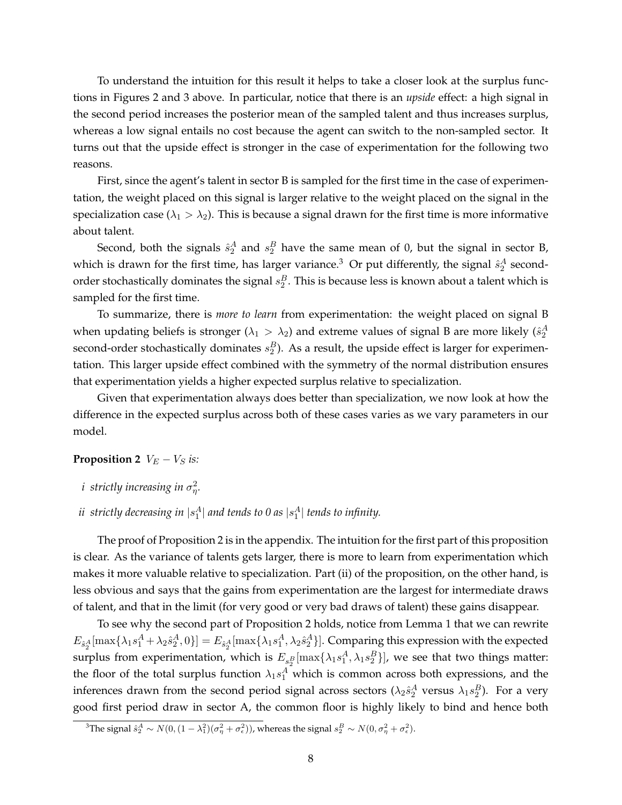To understand the intuition for this result it helps to take a closer look at the surplus functions in Figures 2 and 3 above. In particular, notice that there is an *upside* effect: a high signal in the second period increases the posterior mean of the sampled talent and thus increases surplus, whereas a low signal entails no cost because the agent can switch to the non-sampled sector. It turns out that the upside effect is stronger in the case of experimentation for the following two reasons.

First, since the agent's talent in sector B is sampled for the first time in the case of experimentation, the weight placed on this signal is larger relative to the weight placed on the signal in the specialization case ( $\lambda_1 > \lambda_2$ ). This is because a signal drawn for the first time is more informative about talent.

Second, both the signals  $\hat{s}_2^A$  and  $s_2^B$  have the same mean of 0, but the signal in sector B, which is drawn for the first time, has larger variance.<sup>3</sup> Or put differently, the signal  $\hat{s}_2^A$  secondorder stochastically dominates the signal  $s_2^B$ . This is because less is known about a talent which is sampled for the first time.

To summarize, there is *more to learn* from experimentation: the weight placed on signal B when updating beliefs is stronger ( $\lambda_1 > \lambda_2$ ) and extreme values of signal B are more likely ( $\hat{s}^A_2$ second-order stochastically dominates  $s_2^B$ ). As a result, the upside effect is larger for experimentation. This larger upside effect combined with the symmetry of the normal distribution ensures that experimentation yields a higher expected surplus relative to specialization.

Given that experimentation always does better than specialization, we now look at how the difference in the expected surplus across both of these cases varies as we vary parameters in our model.

#### **Proposition 2**  $V_E - V_S$  *is:*

- $i$  strictly increasing in  $\sigma_{\eta}^2.$
- $i$ *i* strictly decreasing in  $|s_1^A|$  and tends to 0 as  $|s_1^A|$  tends to infinity.

The proof of Proposition 2 is in the appendix. The intuition for the first part of this proposition is clear. As the variance of talents gets larger, there is more to learn from experimentation which makes it more valuable relative to specialization. Part (ii) of the proposition, on the other hand, is less obvious and says that the gains from experimentation are the largest for intermediate draws of talent, and that in the limit (for very good or very bad draws of talent) these gains disappear.

To see why the second part of Proposition 2 holds, notice from Lemma 1 that we can rewrite  $E_{\hat{s}^A_2}[\max\{\lambda_1s^A_1+\lambda_2\hat{s}^A_2,0\}]=E_{\hat{s}^A_2}[\max\{\lambda_1s^A_1,\lambda_2\hat{s}^A_2\}].$  Comparing this expression with the expected surplus from experimentation, which is  $E_{s_2^B}[\max\{\lambda_1s_1^A,\lambda_1s_2^B\}]$ , we see that two things matter: the floor of the total surplus function  $\lambda_1 s_1^A$  which is common across both expressions, and the inferences drawn from the second period signal across sectors ( $\lambda_2\hat{s}^A_2$  versus  $\lambda_1s^B_2$ ). For a very good first period draw in sector A, the common floor is highly likely to bind and hence both

<sup>&</sup>lt;sup>3</sup>The signal  $\hat{s}_2^A \sim N(0, (1 - \lambda_1^2)(\sigma_\eta^2 + \sigma_\epsilon^2))$ , whereas the signal  $s_2^B \sim N(0, \sigma_\eta^2 + \sigma_\epsilon^2)$ .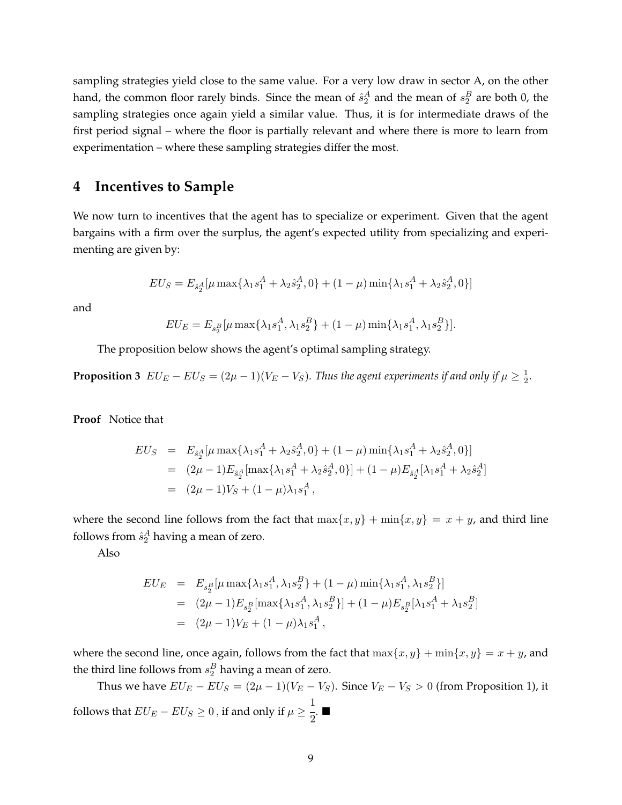sampling strategies yield close to the same value. For a very low draw in sector A, on the other hand, the common floor rarely binds. Since the mean of  $\hat{s}_2^A$  and the mean of  $s_2^B$  are both 0, the sampling strategies once again yield a similar value. Thus, it is for intermediate draws of the first period signal – where the floor is partially relevant and where there is more to learn from experimentation – where these sampling strategies differ the most.

## **4 Incentives to Sample**

We now turn to incentives that the agent has to specialize or experiment. Given that the agent bargains with a firm over the surplus, the agent's expected utility from specializing and experimenting are given by:

$$
EU_S = E_{\hat{s}_2^A}[\mu \max\{\lambda_1 s_1^A + \lambda_2 \hat{s}_2^A, 0\} + (1 - \mu) \min\{\lambda_1 s_1^A + \lambda_2 \hat{s}_2^A, 0\}]
$$

and

$$
EU_E = E_{s_2^B}[\mu \max\{\lambda_1 s_1^A, \lambda_1 s_2^B\} + (1 - \mu) \min\{\lambda_1 s_1^A, \lambda_1 s_2^B\}].
$$

The proposition below shows the agent's optimal sampling strategy.

**Proposition 3**  $EU_E - EU_S = (2\mu - 1)(V_E - V_S)$ . Thus the agent experiments if and only if  $\mu \geq \frac{1}{2}$  $\frac{1}{2}$ .

**Proof** Notice that

$$
EU_S = E_{\hat{s}_2^A}[\mu \max\{\lambda_1 s_1^A + \lambda_2 \hat{s}_2^A, 0\} + (1 - \mu) \min\{\lambda_1 s_1^A + \lambda_2 \hat{s}_2^A, 0\}]
$$
  
=  $(2\mu - 1)E_{\hat{s}_2^A}[\max\{\lambda_1 s_1^A + \lambda_2 \hat{s}_2^A, 0\}] + (1 - \mu)E_{\hat{s}_2^A}[\lambda_1 s_1^A + \lambda_2 \hat{s}_2^A]$   
=  $(2\mu - 1)V_S + (1 - \mu)\lambda_1 s_1^A$ ,

where the second line follows from the fact that  $\max\{x, y\} + \min\{x, y\} = x + y$ , and third line follows from  $\hat{s}_2^A$  having a mean of zero.

Also

$$
EU_E = E_{s_2^B}[\mu \max\{\lambda_1 s_1^A, \lambda_1 s_2^B\} + (1 - \mu) \min\{\lambda_1 s_1^A, \lambda_1 s_2^B\}]
$$
  
=  $(2\mu - 1)E_{s_2^B}[\max\{\lambda_1 s_1^A, \lambda_1 s_2^B\}] + (1 - \mu)E_{s_2^B}[\lambda_1 s_1^A + \lambda_1 s_2^B]$   
=  $(2\mu - 1)V_E + (1 - \mu)\lambda_1 s_1^A$ ,

where the second line, once again, follows from the fact that  $\max\{x, y\} + \min\{x, y\} = x + y$ , and the third line follows from  $s_2^B$  having a mean of zero.

Thus we have  $EU_E - EU_S = (2\mu - 1)(V_E - V_S)$ . Since  $V_E - V_S > 0$  (from Proposition 1), it follows that  $EU_E-EU_S\geq 0$  , if and only if  $\mu\geq$ 1  $\frac{1}{2}$ .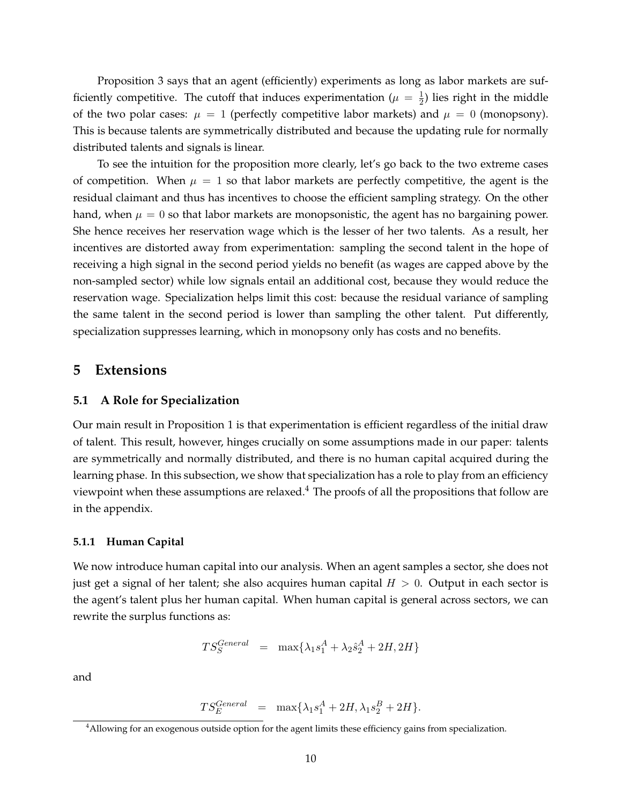Proposition 3 says that an agent (efficiently) experiments as long as labor markets are sufficiently competitive. The cutoff that induces experimentation ( $\mu = \frac{1}{2}$ )  $\frac{1}{2}$ ) lies right in the middle of the two polar cases:  $\mu = 1$  (perfectly competitive labor markets) and  $\mu = 0$  (monopsony). This is because talents are symmetrically distributed and because the updating rule for normally distributed talents and signals is linear.

To see the intuition for the proposition more clearly, let's go back to the two extreme cases of competition. When  $\mu = 1$  so that labor markets are perfectly competitive, the agent is the residual claimant and thus has incentives to choose the efficient sampling strategy. On the other hand, when  $\mu = 0$  so that labor markets are monopsonistic, the agent has no bargaining power. She hence receives her reservation wage which is the lesser of her two talents. As a result, her incentives are distorted away from experimentation: sampling the second talent in the hope of receiving a high signal in the second period yields no benefit (as wages are capped above by the non-sampled sector) while low signals entail an additional cost, because they would reduce the reservation wage. Specialization helps limit this cost: because the residual variance of sampling the same talent in the second period is lower than sampling the other talent. Put differently, specialization suppresses learning, which in monopsony only has costs and no benefits.

### **5 Extensions**

#### **5.1 A Role for Specialization**

Our main result in Proposition 1 is that experimentation is efficient regardless of the initial draw of talent. This result, however, hinges crucially on some assumptions made in our paper: talents are symmetrically and normally distributed, and there is no human capital acquired during the learning phase. In this subsection, we show that specialization has a role to play from an efficiency viewpoint when these assumptions are relaxed.<sup>4</sup> The proofs of all the propositions that follow are in the appendix.

#### **5.1.1 Human Capital**

We now introduce human capital into our analysis. When an agent samples a sector, she does not just get a signal of her talent; she also acquires human capital  $H > 0$ . Output in each sector is the agent's talent plus her human capital. When human capital is general across sectors, we can rewrite the surplus functions as:

$$
TS_S^{General} = \max\{\lambda_1 s_1^A + \lambda_2 s_2^A + 2H, 2H\}
$$

and

$$
TS_E^{General} = \max\{\lambda_1 s_1^A + 2H, \lambda_1 s_2^B + 2H\}.
$$

<sup>4</sup>Allowing for an exogenous outside option for the agent limits these efficiency gains from specialization.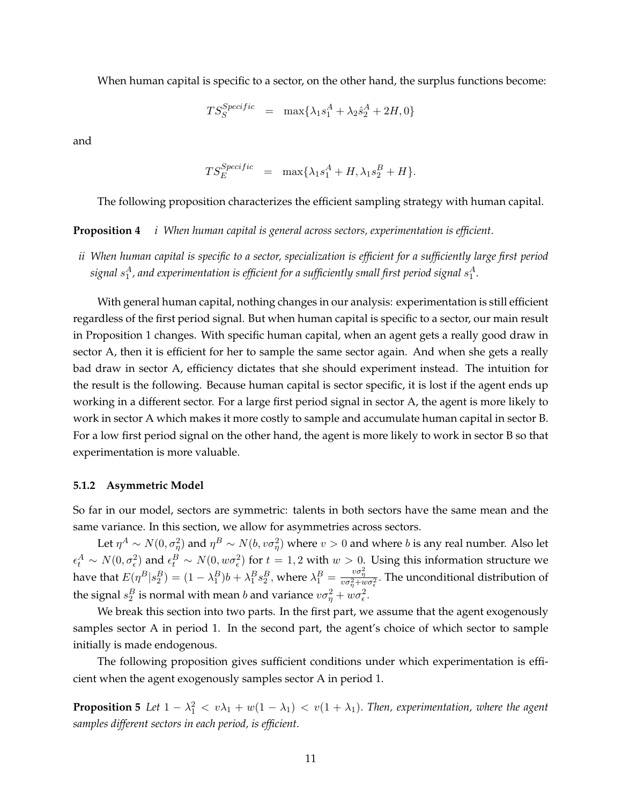When human capital is specific to a sector, on the other hand, the surplus functions become:

$$
TS_S^{Specific} = \max\{\lambda_1 s_1^A + \lambda_2 \hat{s}_2^A + 2H, 0\}
$$

and

$$
TS_E^{Specific} = \max\{\lambda_1 s_1^A + H, \lambda_1 s_2^B + H\}.
$$

The following proposition characterizes the efficient sampling strategy with human capital.

#### **Proposition 4** *i When human capital is general across sectors, experimentation is efficient.*

*ii When human capital is specific to a sector, specialization is efficient for a sufficiently large first period* signal  $s_1^A$ , and experimentation is efficient for a sufficiently small first period signal  $s_1^A$ .

With general human capital, nothing changes in our analysis: experimentation is still efficient regardless of the first period signal. But when human capital is specific to a sector, our main result in Proposition 1 changes. With specific human capital, when an agent gets a really good draw in sector A, then it is efficient for her to sample the same sector again. And when she gets a really bad draw in sector A, efficiency dictates that she should experiment instead. The intuition for the result is the following. Because human capital is sector specific, it is lost if the agent ends up working in a different sector. For a large first period signal in sector A, the agent is more likely to work in sector A which makes it more costly to sample and accumulate human capital in sector B. For a low first period signal on the other hand, the agent is more likely to work in sector B so that experimentation is more valuable.

#### **5.1.2 Asymmetric Model**

So far in our model, sectors are symmetric: talents in both sectors have the same mean and the same variance. In this section, we allow for asymmetries across sectors.

Let  $\eta^A\sim N(0,\sigma_\eta^2)$  and  $\eta^B\sim N(b,v\sigma_\eta^2)$  where  $v>0$  and where  $b$  is any real number. Also let  $\epsilon_t^A \sim N(0, \sigma_{\epsilon}^2)$  and  $\epsilon_t^B \sim N(0, w\sigma_{\epsilon}^2)$  for  $t=1,2$  with  $w>0$ . Using this information structure we have that  $E(\eta^B | s_2^B) = (1 - \lambda_1^B) b + \lambda_1^B s_2^B$ , where  $\lambda_1^B = \frac{v \sigma_\eta^2}{v \sigma_\eta^2 + w \sigma_\epsilon^2}$ . The unconditional distribution of the signal  $s_2^B$  is normal with mean b and variance  $v\sigma_\eta^2 + w\sigma_\epsilon^2$ .

We break this section into two parts. In the first part, we assume that the agent exogenously samples sector A in period 1. In the second part, the agent's choice of which sector to sample initially is made endogenous.

The following proposition gives sufficient conditions under which experimentation is efficient when the agent exogenously samples sector A in period 1.

**Proposition 5** Let  $1 - \lambda_1^2 < v\lambda_1 + w(1 - \lambda_1) < v(1 + \lambda_1)$ . Then, experimentation, where the agent *samples different sectors in each period, is efficient.*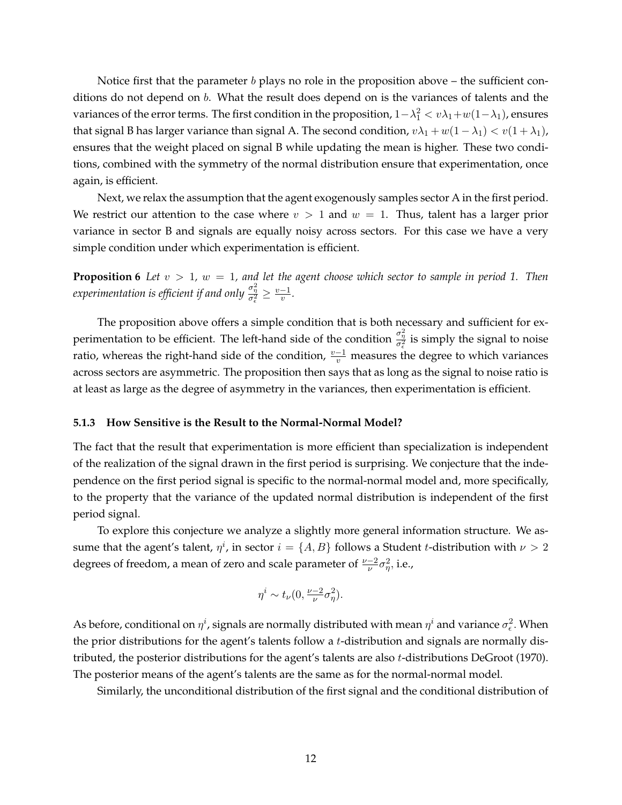Notice first that the parameter  $b$  plays no role in the proposition above – the sufficient conditions do not depend on  $b$ . What the result does depend on is the variances of talents and the variances of the error terms. The first condition in the proposition,  $1-\lambda_1^2 < v\lambda_1 + w(1-\lambda_1)$ , ensures that signal B has larger variance than signal A. The second condition,  $v\lambda_1 + w(1 - \lambda_1) < v(1 + \lambda_1)$ , ensures that the weight placed on signal B while updating the mean is higher. These two conditions, combined with the symmetry of the normal distribution ensure that experimentation, once again, is efficient.

Next, we relax the assumption that the agent exogenously samples sector A in the first period. We restrict our attention to the case where  $v > 1$  and  $w = 1$ . Thus, talent has a larger prior variance in sector B and signals are equally noisy across sectors. For this case we have a very simple condition under which experimentation is efficient.

**Proposition 6** *Let*  $v > 1$ ,  $w = 1$ , and let the agent choose which sector to sample in period 1. Then experimentation is efficient if and only  $\frac{\sigma_{\eta}^2}{\sigma_{\epsilon}^2} \geq \frac{v-1}{v}$  $\frac{-1}{v}$ .

The proposition above offers a simple condition that is both necessary and sufficient for experimentation to be efficient. The left-hand side of the condition  $\frac{\sigma_{\eta}^2}{\sigma_{\epsilon}^2}$  is simply the signal to noise ratio, whereas the right-hand side of the condition,  $\frac{v-1}{v}$  measures the degree to which variances across sectors are asymmetric. The proposition then says that as long as the signal to noise ratio is at least as large as the degree of asymmetry in the variances, then experimentation is efficient.

#### **5.1.3 How Sensitive is the Result to the Normal-Normal Model?**

The fact that the result that experimentation is more efficient than specialization is independent of the realization of the signal drawn in the first period is surprising. We conjecture that the independence on the first period signal is specific to the normal-normal model and, more specifically, to the property that the variance of the updated normal distribution is independent of the first period signal.

To explore this conjecture we analyze a slightly more general information structure. We assume that the agent's talent,  $\eta^i$ , in sector  $i = \{A, B\}$  follows a Student t-distribution with  $\nu > 2$ degrees of freedom, a mean of zero and scale parameter of  $\frac{\nu-2}{\nu}\sigma_{\eta}^2$ , i.e.,

$$
\eta^i \sim t_\nu(0, \tfrac{\nu-2}{\nu}\sigma_\eta^2).
$$

As before, conditional on  $\eta^i$ , signals are normally distributed with mean  $\eta^i$  and variance  $\sigma_\epsilon^2.$  When the prior distributions for the agent's talents follow a t-distribution and signals are normally distributed, the posterior distributions for the agent's talents are also t-distributions DeGroot (1970). The posterior means of the agent's talents are the same as for the normal-normal model.

Similarly, the unconditional distribution of the first signal and the conditional distribution of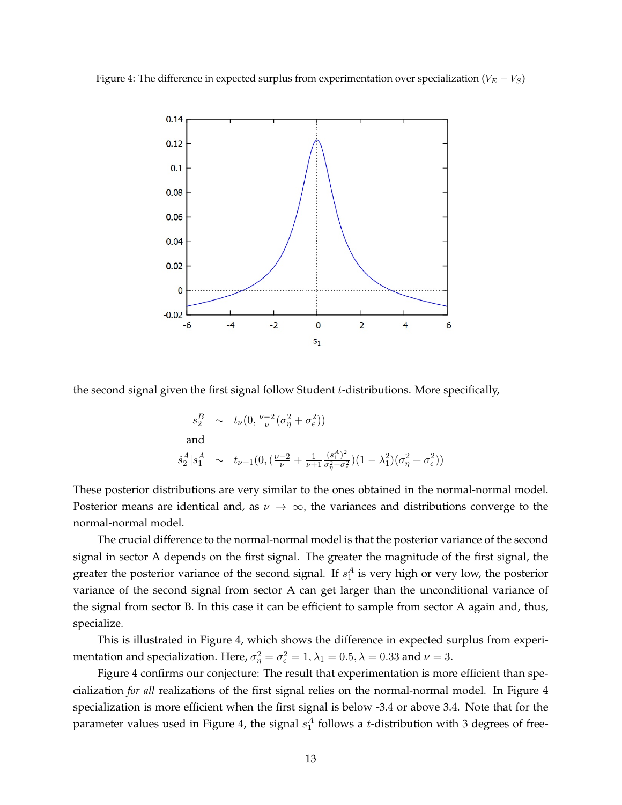Figure 4: The difference in expected surplus from experimentation over specialization ( $V_E - V_S$ )



the second signal given the first signal follow Student t-distributions. More specifically,

$$
s_2^B \sim t_\nu(0, \frac{\nu - 2}{\nu} (\sigma_\eta^2 + \sigma_\epsilon^2))
$$
  
and  

$$
\hat{s}_2^A | s_1^A \sim t_{\nu+1}(0, (\frac{\nu - 2}{\nu} + \frac{1}{\nu + 1} \frac{(s_1^A)^2}{\sigma_\eta^2 + \sigma_\epsilon^2})(1 - \lambda_1^2)(\sigma_\eta^2 + \sigma_\epsilon^2))
$$

These posterior distributions are very similar to the ones obtained in the normal-normal model. Posterior means are identical and, as  $\nu \to \infty$ , the variances and distributions converge to the normal-normal model.

The crucial difference to the normal-normal model is that the posterior variance of the second signal in sector A depends on the first signal. The greater the magnitude of the first signal, the greater the posterior variance of the second signal. If  $s_1^A$  is very high or very low, the posterior variance of the second signal from sector A can get larger than the unconditional variance of the signal from sector B. In this case it can be efficient to sample from sector A again and, thus, specialize.

This is illustrated in Figure 4, which shows the difference in expected surplus from experimentation and specialization. Here,  $\sigma_{\eta}^2 = \sigma_{\epsilon}^2 = 1, \lambda_1 = 0.5, \lambda = 0.33$  and  $\nu = 3$ .

Figure 4 confirms our conjecture: The result that experimentation is more efficient than specialization *for all* realizations of the first signal relies on the normal-normal model. In Figure 4 specialization is more efficient when the first signal is below -3.4 or above 3.4. Note that for the parameter values used in Figure 4, the signal  $s_1^A$  follows a t-distribution with 3 degrees of free-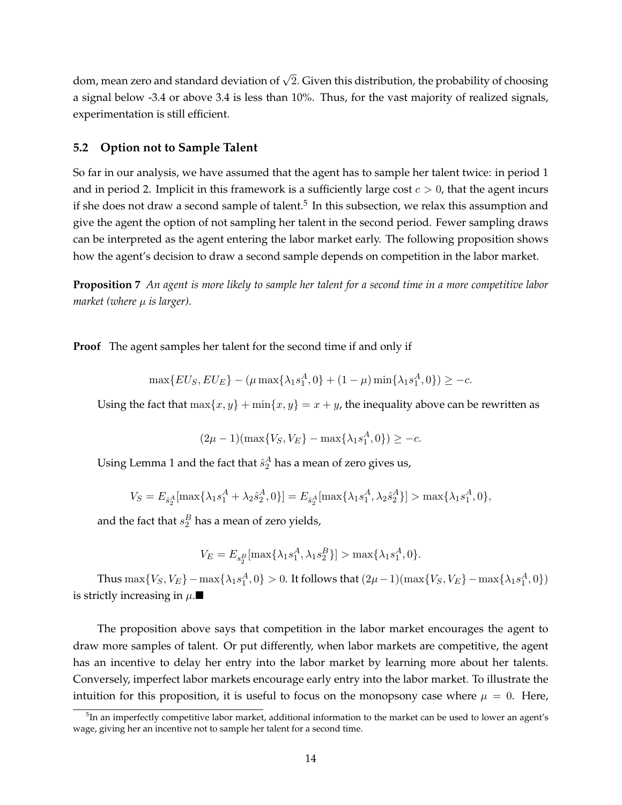dom, mean zero and standard deviation of  $\sqrt{2}$ . Given this distribution, the probability of choosing a signal below -3.4 or above 3.4 is less than 10%. Thus, for the vast majority of realized signals, experimentation is still efficient.

#### **5.2 Option not to Sample Talent**

So far in our analysis, we have assumed that the agent has to sample her talent twice: in period 1 and in period 2. Implicit in this framework is a sufficiently large cost  $c > 0$ , that the agent incurs if she does not draw a second sample of talent.<sup>5</sup> In this subsection, we relax this assumption and give the agent the option of not sampling her talent in the second period. Fewer sampling draws can be interpreted as the agent entering the labor market early. The following proposition shows how the agent's decision to draw a second sample depends on competition in the labor market.

**Proposition 7** *An agent is more likely to sample her talent for a second time in a more competitive labor*  $market$  (where  $\mu$  *is larger*).

**Proof** The agent samples her talent for the second time if and only if

$$
\max\{EU_S, EU_E\} - (\mu \max\{\lambda_1 s_1^A, 0\} + (1 - \mu) \min\{\lambda_1 s_1^A, 0\}) \ge -c.
$$

Using the fact that  $\max\{x, y\} + \min\{x, y\} = x + y$ , the inequality above can be rewritten as

$$
(2\mu - 1)(\max\{V_S, V_E\} - \max\{\lambda_1 s_1^A, 0\}) \ge -c.
$$

Using Lemma 1 and the fact that  $\hat{s}_2^A$  has a mean of zero gives us,

$$
V_S = E_{\hat{s}_2^A}[\max\{\lambda_1 s_1^A + \lambda_2 \hat{s}_2^A, 0\}] = E_{\hat{s}_2^A}[\max\{\lambda_1 s_1^A, \lambda_2 \hat{s}_2^A\}] > \max\{\lambda_1 s_1^A, 0\},
$$

and the fact that  $s_2^B$  has a mean of zero yields,

$$
V_E = E_{s_2^B}[\max\{\lambda_1 s_1^A, \lambda_1 s_2^B\}] > \max\{\lambda_1 s_1^A, 0\}.
$$

Thus  $\max\{V_S, V_E\} - \max\{\lambda_1 s_1^A, 0\} > 0$ . It follows that  $(2\mu - 1)(\max\{V_S, V_E\} - \max\{\lambda_1 s_1^A, 0\})$ is strictly increasing in  $\mu$ .

The proposition above says that competition in the labor market encourages the agent to draw more samples of talent. Or put differently, when labor markets are competitive, the agent has an incentive to delay her entry into the labor market by learning more about her talents. Conversely, imperfect labor markets encourage early entry into the labor market. To illustrate the intuition for this proposition, it is useful to focus on the monopsony case where  $\mu = 0$ . Here,

 $^5$ In an imperfectly competitive labor market, additional information to the market can be used to lower an agent's wage, giving her an incentive not to sample her talent for a second time.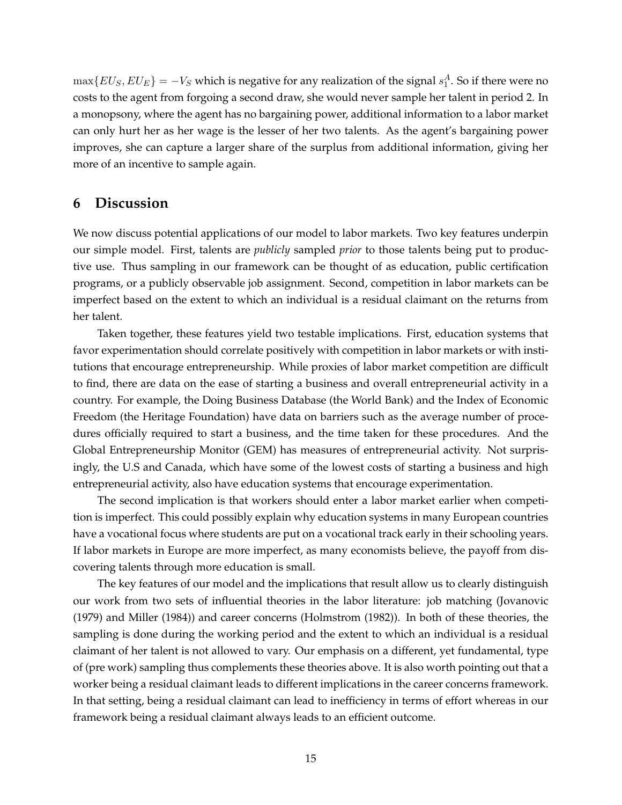$\max\{EU_S, EU_E\} = -V_S$  which is negative for any realization of the signal  $s_1^A$ . So if there were no costs to the agent from forgoing a second draw, she would never sample her talent in period 2. In a monopsony, where the agent has no bargaining power, additional information to a labor market can only hurt her as her wage is the lesser of her two talents. As the agent's bargaining power improves, she can capture a larger share of the surplus from additional information, giving her more of an incentive to sample again.

## **6 Discussion**

We now discuss potential applications of our model to labor markets. Two key features underpin our simple model. First, talents are *publicly* sampled *prior* to those talents being put to productive use. Thus sampling in our framework can be thought of as education, public certification programs, or a publicly observable job assignment. Second, competition in labor markets can be imperfect based on the extent to which an individual is a residual claimant on the returns from her talent.

Taken together, these features yield two testable implications. First, education systems that favor experimentation should correlate positively with competition in labor markets or with institutions that encourage entrepreneurship. While proxies of labor market competition are difficult to find, there are data on the ease of starting a business and overall entrepreneurial activity in a country. For example, the Doing Business Database (the World Bank) and the Index of Economic Freedom (the Heritage Foundation) have data on barriers such as the average number of procedures officially required to start a business, and the time taken for these procedures. And the Global Entrepreneurship Monitor (GEM) has measures of entrepreneurial activity. Not surprisingly, the U.S and Canada, which have some of the lowest costs of starting a business and high entrepreneurial activity, also have education systems that encourage experimentation.

The second implication is that workers should enter a labor market earlier when competition is imperfect. This could possibly explain why education systems in many European countries have a vocational focus where students are put on a vocational track early in their schooling years. If labor markets in Europe are more imperfect, as many economists believe, the payoff from discovering talents through more education is small.

The key features of our model and the implications that result allow us to clearly distinguish our work from two sets of influential theories in the labor literature: job matching (Jovanovic (1979) and Miller (1984)) and career concerns (Holmstrom (1982)). In both of these theories, the sampling is done during the working period and the extent to which an individual is a residual claimant of her talent is not allowed to vary. Our emphasis on a different, yet fundamental, type of (pre work) sampling thus complements these theories above. It is also worth pointing out that a worker being a residual claimant leads to different implications in the career concerns framework. In that setting, being a residual claimant can lead to inefficiency in terms of effort whereas in our framework being a residual claimant always leads to an efficient outcome.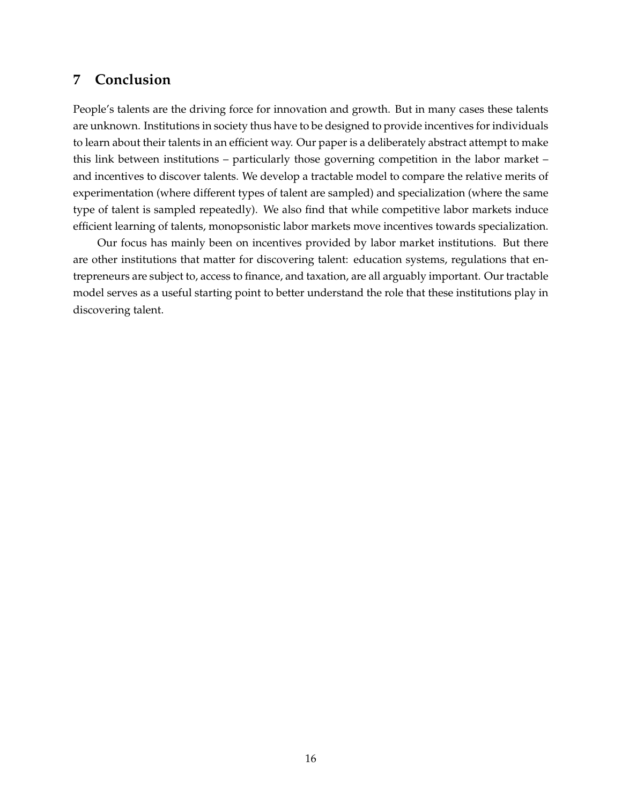## **7 Conclusion**

People's talents are the driving force for innovation and growth. But in many cases these talents are unknown. Institutions in society thus have to be designed to provide incentives for individuals to learn about their talents in an efficient way. Our paper is a deliberately abstract attempt to make this link between institutions – particularly those governing competition in the labor market – and incentives to discover talents. We develop a tractable model to compare the relative merits of experimentation (where different types of talent are sampled) and specialization (where the same type of talent is sampled repeatedly). We also find that while competitive labor markets induce efficient learning of talents, monopsonistic labor markets move incentives towards specialization.

Our focus has mainly been on incentives provided by labor market institutions. But there are other institutions that matter for discovering talent: education systems, regulations that entrepreneurs are subject to, access to finance, and taxation, are all arguably important. Our tractable model serves as a useful starting point to better understand the role that these institutions play in discovering talent.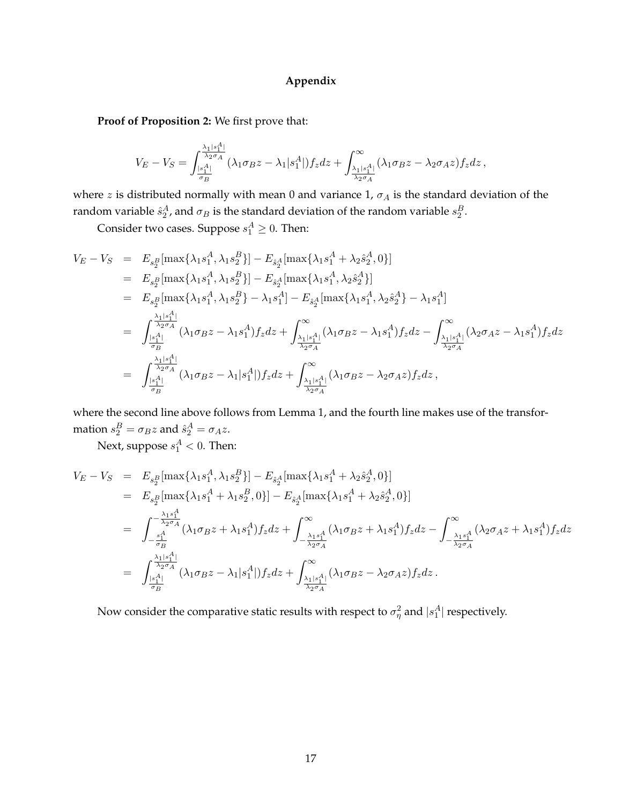#### **Appendix**

**Proof of Proposition 2:** We first prove that:

$$
V_E-V_S=\int_{\frac{|s_1^A|}{\sigma_B}}^{\frac{\lambda_1|s_1^A|}{\lambda_2\sigma_A}} (\lambda_1\sigma_Bz-\lambda_1|s_1^A|)f_zdz+\int_{\frac{\lambda_1|s_1^A|}{\lambda_2\sigma_A}}^{\infty} (\lambda_1\sigma_Bz-\lambda_2\sigma_Az)f_zdz\,,
$$

where z is distributed normally with mean 0 and variance 1,  $\sigma_A$  is the standard deviation of the random variable  $\hat{s}_2^A$ , and  $\sigma_B$  is the standard deviation of the random variable  $s_2^B$ .

Consider two cases. Suppose  $s_1^A \geq 0$ . Then:

$$
V_{E} - V_{S} = E_{s_{2}^{B}}[\max\{\lambda_{1}s_{1}^{A}, \lambda_{1}s_{2}^{B}\}] - E_{\hat{s}_{2}^{A}}[\max\{\lambda_{1}s_{1}^{A} + \lambda_{2}\hat{s}_{2}^{A}, 0\}]
$$
  
\n
$$
= E_{s_{2}^{B}}[\max\{\lambda_{1}s_{1}^{A}, \lambda_{1}s_{2}^{B}\}] - E_{\hat{s}_{2}^{A}}[\max\{\lambda_{1}s_{1}^{A}, \lambda_{2}\hat{s}_{2}^{A}\}]
$$
  
\n
$$
= E_{s_{2}^{B}}[\max\{\lambda_{1}s_{1}^{A}, \lambda_{1}s_{2}^{B}\} - \lambda_{1}s_{1}^{A}] - E_{\hat{s}_{2}^{A}}[\max\{\lambda_{1}s_{1}^{A}, \lambda_{2}\hat{s}_{2}^{A}\} - \lambda_{1}s_{1}^{A}]
$$
  
\n
$$
= \int_{\frac{|s_{1}^{A}|}{\sigma_{B}}}^{\frac{\lambda_{1}|s_{1}^{A}|}{\lambda_{2}\sigma_{A}}} (\lambda_{1}\sigma_{B}z - \lambda_{1}s_{1}^{A})f_{z}dz + \int_{\frac{\lambda_{1}|s_{1}^{A}|}{\lambda_{2}\sigma_{A}}}^{\infty} (\lambda_{1}\sigma_{B}z - \lambda_{1}s_{1}^{A})f_{z}dz - \int_{\frac{\lambda_{1}|s_{1}^{A}|}{\lambda_{2}\sigma_{A}}}^{\infty} (\lambda_{2}\sigma_{A}z - \lambda_{1}s_{1}^{A})f_{z}dz
$$
  
\n
$$
= \int_{\frac{|s_{1}^{A}|}{\sigma_{B}}}^{\frac{\lambda_{1}|s_{1}^{A}|}{\lambda_{2}\sigma_{A}}} (\lambda_{1}\sigma_{B}z - \lambda_{1}|s_{1}^{A}|)f_{z}dz + \int_{\frac{\lambda_{1}|s_{1}^{A}|}{\lambda_{2}\sigma_{A}}}^{\infty} (\lambda_{1}\sigma_{B}z - \lambda_{2}\sigma_{A}z)f_{z}dz,
$$

where the second line above follows from Lemma 1, and the fourth line makes use of the transformation  $s_2^B = \sigma_B z$  and  $\hat{s}_2^A = \sigma_A z$ .

Next, suppose  $s_1^A < 0$ . Then:

$$
V_{E} - V_{S} = E_{s_{2}^{B}}[\max\{\lambda_{1}s_{1}^{A}, \lambda_{1}s_{2}^{B}\}] - E_{\hat{s}_{2}^{A}}[\max\{\lambda_{1}s_{1}^{A} + \lambda_{2}\hat{s}_{2}^{A}, 0\}]
$$
  
\n
$$
= E_{s_{2}^{B}}[\max\{\lambda_{1}s_{1}^{A} + \lambda_{1}s_{2}^{B}, 0\}] - E_{\hat{s}_{2}^{A}}[\max\{\lambda_{1}s_{1}^{A} + \lambda_{2}\hat{s}_{2}^{A}, 0\}]
$$
  
\n
$$
= \int_{-\frac{s_{1}^{A}}{\sigma_{B}^{A}}}^{-\frac{\lambda_{1}s_{1}^{A}}{\lambda_{2}\sigma_{A}}} (\lambda_{1}\sigma_{B}z + \lambda_{1}s_{1}^{A})f_{z}dz + \int_{-\frac{\lambda_{1}s_{1}^{A}}{\lambda_{2}\sigma_{A}}}^{\infty} (\lambda_{1}\sigma_{B}z + \lambda_{1}s_{1}^{A})f_{z}dz - \int_{-\frac{\lambda_{1}s_{1}^{A}}{\lambda_{2}\sigma_{A}}}^{\infty} (\lambda_{2}\sigma_{A}z + \lambda_{1}s_{1}^{A})f_{z}dz
$$
  
\n
$$
= \int_{\frac{|s_{1}^{A}|}{\sigma_{B}}}^{\frac{\lambda_{1}|s_{1}^{A}|}{\lambda_{2}\sigma_{A}}} (\lambda_{1}\sigma_{B}z - \lambda_{1}|s_{1}^{A}|)f_{z}dz + \int_{\frac{\lambda_{1}|s_{1}^{A}|}{\lambda_{2}\sigma_{A}}}^{\infty} (\lambda_{1}\sigma_{B}z - \lambda_{2}\sigma_{A}z)f_{z}dz.
$$

Now consider the comparative static results with respect to  $\sigma_{\eta}^2$  and  $|s_1^A|$  respectively.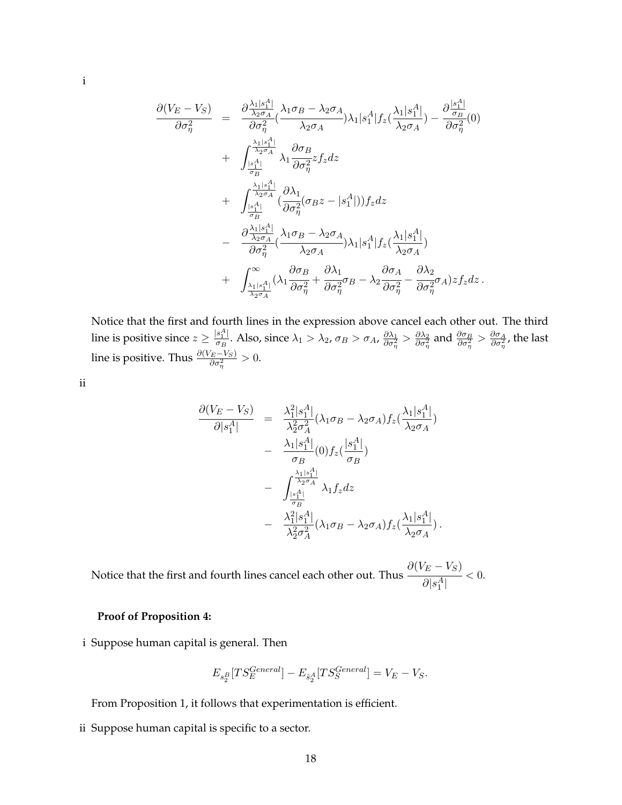$$
\frac{\partial (V_E - V_S)}{\partial \sigma_\eta^2} = \frac{\partial \frac{\lambda_1 |s_1^A|}{\lambda_2 \sigma_A} (\lambda_1 \sigma_B - \lambda_2 \sigma_A)}{\partial \sigma_\eta^2} \lambda_1 |s_1^A| f_z(\frac{\lambda_1 |s_1^A|}{\lambda_2 \sigma_A}) - \frac{\partial \frac{|s_1^A|}{\sigma_B}}{\partial \sigma_\eta^2} (0) \n+ \int_{\frac{|s_1^A|}{\sigma_B}}^{\frac{\lambda_1 |s_1^A|}{\lambda_2 \sigma_A}} \lambda_1 \frac{\partial \sigma_B}{\partial \sigma_\eta^2} z f_z dz \n+ \int_{\frac{|s_1^A|}{\sigma_B}}^{\frac{\lambda_1 |s_1^A|}{\lambda_2 \sigma_A}} (\frac{\partial \lambda_1}{\partial \sigma_\eta^2} (\sigma_B z - |s_1^A|)) f_z dz \n- \frac{\partial \frac{\lambda_1 |s_1^A|}{\lambda_2 \sigma_A}}{\partial \sigma_\eta^2} (\frac{\lambda_1 \sigma_B - \lambda_2 \sigma_A}{\lambda_2 \sigma_A}) \lambda_1 |s_1^A| f_z(\frac{\lambda_1 |s_1^A|}{\lambda_2 \sigma_A}) \n+ \int_{\frac{\lambda_1 |s_1^A|}{\lambda_2 \sigma_A}}^{\infty} (\lambda_1 \frac{\partial \sigma_B}{\partial \sigma_\eta^2} + \frac{\partial \lambda_1}{\partial \sigma_\eta^2} \sigma_B - \lambda_2 \frac{\partial \sigma_A}{\partial \sigma_\eta^2} - \frac{\partial \lambda_2}{\partial \sigma_\eta^2} \sigma_A) z f_z dz.
$$

Notice that the first and fourth lines in the expression above cancel each other out. The third line is positive since  $z \geq \frac{|s_1^A|}{\sigma_B}$  $\frac{\delta_1^A}{\sigma_B}$ . Also, since  $\lambda_1 > \lambda_2$ ,  $\sigma_B > \sigma_A$ ,  $\frac{\partial \lambda_1}{\partial \sigma_\eta^2} > \frac{\partial \lambda_2}{\partial \sigma_\eta^2}$  and  $\frac{\partial \sigma_B}{\partial \sigma_\eta^2} > \frac{\partial \sigma_A}{\partial \sigma_\eta^2}$ , the last line is positive. Thus  $\frac{\partial (V_E - V_S)}{\partial \sigma_\eta^2} > 0.$ 

ii

$$
\frac{\partial (V_E - V_S)}{\partial |s_1^A|} = \frac{\lambda_1^2 |s_1^A|}{\lambda_2^2 \sigma_A^2} (\lambda_1 \sigma_B - \lambda_2 \sigma_A) f_z(\frac{\lambda_1 |s_1^A|}{\lambda_2 \sigma_A})
$$

$$
- \frac{\lambda_1 |s_1^A|}{\sigma_B} (0) f_z(\frac{|s_1^A|}{\sigma_B})
$$

$$
- \int_{\frac{|s_1^A|}{\sigma_B}}^{\frac{\lambda_1 |s_1^A|}{\lambda_2 \sigma_A}} \lambda_1 f_z dz
$$

$$
- \frac{\lambda_1^2 |s_1^A|}{\lambda_2^2 \sigma_A^2} (\lambda_1 \sigma_B - \lambda_2 \sigma_A) f_z(\frac{\lambda_1 |s_1^A|}{\lambda_2 \sigma_A}).
$$

Notice that the first and fourth lines cancel each other out. Thus  $\partial (V_E - V_S)$  $\frac{1}{\partial |s_1^A|} < 0.$ 

#### **Proof of Proposition 4:**

i Suppose human capital is general. Then

$$
E_{s_2^B}[TS_E^{General}] - E_{\hat{s}_2^A}[TS_S^{General}] = V_E - V_S.
$$

From Proposition 1, it follows that experimentation is efficient.

ii Suppose human capital is specific to a sector.

18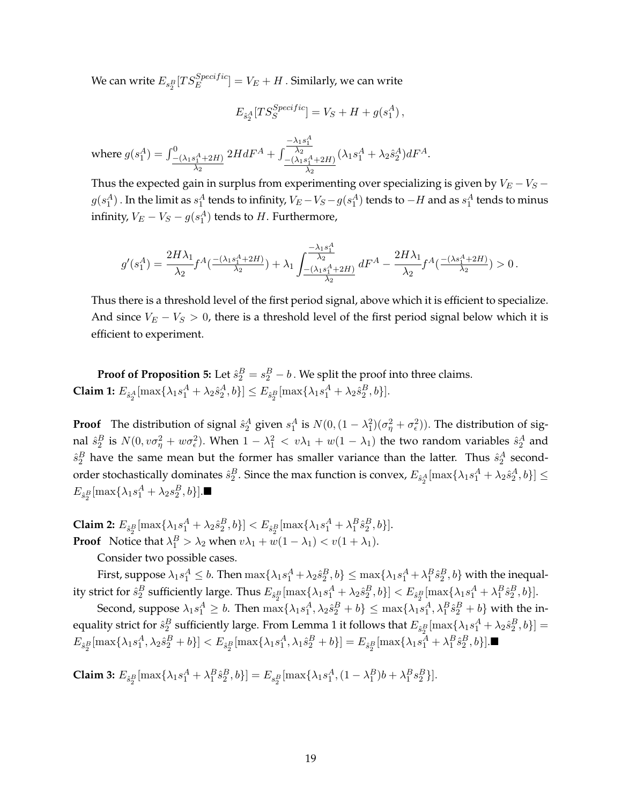We can write  $E_{s_{2}^{B}}[TS_{E}^{Specific}]=V_{E}+H$  . Similarly, we can write

$$
E_{\hat{s}^A_2}[TS_S^{Specific}] = V_S + H + g(s^A_1),
$$

where  $g(s_1^A) = \int_{-\frac{(\lambda_1 s_1^A + 2H)}{2}}^0$  $\lambda_2$  $2HdF^A + \int$  $\frac{-\lambda_1 s_1^A}{\lambda_2}$  $-(\lambda_1 s_1^A + 2H)$  $\lambda_2$  $(\lambda_1 s_1^A + \lambda_2 \hat{s}_2^A)dF^A.$ 

Thus the expected gain in surplus from experimenting over specializing is given by  $V_E - V_S$  $g(s_1^A)$  . In the limit as  $s_1^A$  tends to infinity,  $V_E-V_S-g(s_1^A)$  tends to  $-H$  and as  $s_1^A$  tends to minus infinity,  $V_E-V_S-g(s^A_1)$  tends to  $H$ . Furthermore,

$$
g'(s_1^A) = \frac{2H\lambda_1}{\lambda_2} f^A(\frac{-(\lambda_1s_1^A + 2H)}{\lambda_2}) + \lambda_1 \int_{\frac{-(\lambda_1s_1^A + 2H)}{\lambda_2}}^{\frac{-\lambda_1s_1^A}{\lambda_2}} dF^A - \frac{2H\lambda_1}{\lambda_2} f^A(\frac{-(\lambda s_1^A + 2H)}{\lambda_2}) > 0.
$$

Thus there is a threshold level of the first period signal, above which it is efficient to specialize. And since  $V_E - V_S > 0$ , there is a threshold level of the first period signal below which it is efficient to experiment.

**Proof of Proposition 5:** Let  $\hat{s}_2^B = s_2^B - b$ . We split the proof into three claims. **Claim 1:**  $E_{\hat{s}_2^A}[\max\{\lambda_1 s_1^A + \lambda_2 \hat{s}_2^A, b\}] \le E_{\hat{s}_2^B}[\max\{\lambda_1 s_1^A + \lambda_2 \hat{s}_2^B, b\}].$ 

**Proof** The distribution of signal  $\hat{s}_2^A$  given  $s_1^A$  is  $N(0, (1 - \lambda_1^2)(\sigma_\eta^2 + \sigma_\epsilon^2))$ . The distribution of signal  $\hat{s}_2^B$  is  $N(0,v\sigma_\eta^2+w\sigma_\epsilon^2)$ . When  $1-\lambda_1^2 < v\lambda_1+w(1-\lambda_1)$  the two random variables  $\hat{s}_2^A$  and  $\hat{s}_2^B$  have the same mean but the former has smaller variance than the latter. Thus  $\hat{s}_2^A$  secondorder stochastically dominates  $\hat{s}^B_2.$  Since the max function is convex,  $E_{\hat{s}^A_2}[\max\{\lambda_1s^A_1+\lambda_2\hat{s}^A_2,b\}]\leq$  $E_{\hat{s}_2^B}[\max\{\lambda_1 s_1^A + \lambda_2 s_2^B, b\}].$ 

**Claim 2:**  $E_{\hat{s}^B_2}[\max\{\lambda_1 s^A_1 + \lambda_2 s^B_2, b\}] < E_{\hat{s}^B_2}[\max\{\lambda_1 s^A_1 + \lambda^B_1 \hat{s}^B_2, b\}].$ **Proof** Notice that  $\lambda_1^B > \lambda_2$  when  $v\lambda_1 + w(1 - \lambda_1) < v(1 + \lambda_1)$ .

Consider two possible cases.

First, suppose  $\lambda_1s_1^A\leq b.$  Then  $\max\{\lambda_1s_1^A+\lambda_2\hat{s}_2^B,b\}\leq \max\{\lambda_1s_1^A+\lambda_1^B\hat{s}_2^B,b\}$  with the inequality strict for  $\hat{s}_2^B$  sufficiently large. Thus  $E_{\hat{s}_2^B}[\max\{\lambda_1s_1^A+\lambda_2\hat{s}_2^B,b\}] < E_{\hat{s}_2^B}[\max\{\lambda_1s_1^A+\lambda_1^B\hat{s}_2^B,b\}]$ .

Second, suppose  $\lambda_1 s_1^A \geq b$ . Then  $\max\{\lambda_1 s_1^A, \lambda_2 \hat{s}_2^B + b\} \leq \max\{\lambda_1 s_1^A, \lambda_1^B \hat{s}_2^B + b\}$  with the inequality strict for  $\hat{s}_2^B$  sufficiently large. From Lemma 1 it follows that  $E_{\hat{s}_2^B}[\max\{\lambda_1s_1^A+\lambda_2\hat{s}_2^B,b\}]=0$  $E_{\hat{s}^B_2}[\max\{\lambda_1s^A_1, \lambda_2\hat{s}^B_2 + b\}] < E_{\hat{s}^B_2}[\max\{\lambda_1s^A_1, \lambda_1\hat{s}^B_2 + b\}] = E_{\hat{s}^B_2}[\max\{\lambda_1s^A_1 + \lambda^B_1\hat{s}^B_2, b\}]$ .

**Claim 3:**  $E_{\hat{s}_2^B}[\max\{\lambda_1 s_1^A + \lambda_1^B \hat{s}_2^B, b\}] = E_{s_2^B}[\max\{\lambda_1 s_1^A, (1 - \lambda_1^B)b + \lambda_1^B s_2^B\}].$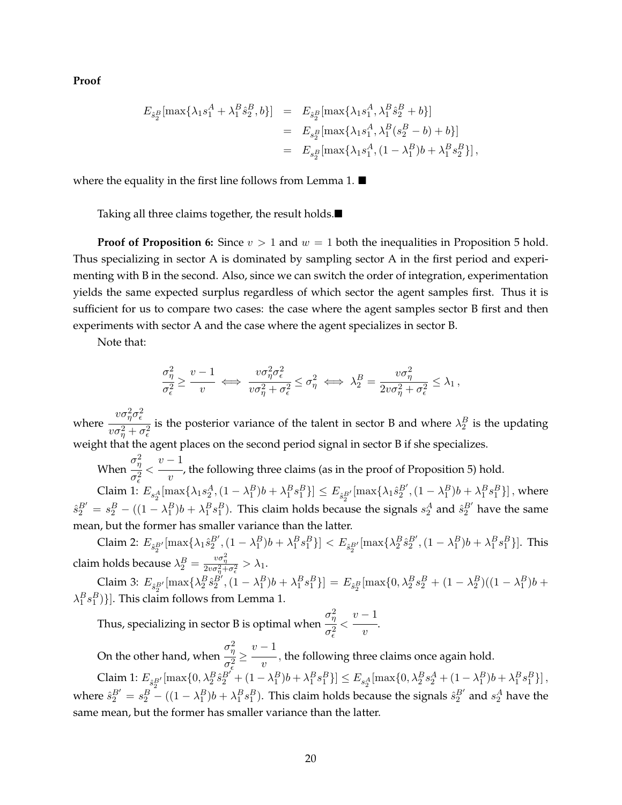**Proof**

$$
E_{\hat{s}_2^B}[\max\{\lambda_1 s_1^A + \lambda_1^B \hat{s}_2^B, b\}] = E_{\hat{s}_2^B}[\max\{\lambda_1 s_1^A, \lambda_1^B \hat{s}_2^B + b\}]
$$
  
=  $E_{s_2^B}[\max\{\lambda_1 s_1^A, \lambda_1^B (s_2^B - b) + b\}]$   
=  $E_{s_2^B}[\max\{\lambda_1 s_1^A, (1 - \lambda_1^B)b + \lambda_1^B s_2^B\}],$ 

where the equality in the first line follows from Lemma 1.  $\blacksquare$ 

Taking all three claims together, the result holds.

**Proof of Proposition 6:** Since  $v > 1$  and  $w = 1$  both the inequalities in Proposition 5 hold. Thus specializing in sector A is dominated by sampling sector A in the first period and experimenting with B in the second. Also, since we can switch the order of integration, experimentation yields the same expected surplus regardless of which sector the agent samples first. Thus it is sufficient for us to compare two cases: the case where the agent samples sector B first and then experiments with sector A and the case where the agent specializes in sector B.

Note that:

$$
\frac{\sigma_\eta^2}{\sigma_\epsilon^2} \geq \frac{v-1}{v} \iff \frac{v\sigma_\eta^2\sigma_\epsilon^2}{v\sigma_\eta^2 + \sigma_\epsilon^2} \leq \sigma_\eta^2 \iff \lambda_2^B = \frac{v\sigma_\eta^2}{2v\sigma_\eta^2 + \sigma_\epsilon^2} \leq \lambda_1 \:,
$$

where  $v\sigma_\eta^2\sigma_\epsilon^2$  $v\sigma_\eta^2+\sigma_\epsilon^2$ is the posterior variance of the talent in sector B and where  $\lambda_2^B$  is the updating weight that the agent places on the second period signal in sector B if she specializes.

When  $\sigma_\eta^2$  $\frac{\eta}{\sigma_{\epsilon}^2}$  <  $\overline{\epsilon}$  $v-1$ —, the following three claims (as in the proof of Proposition 5) hold.

Claim 1:  $E_{s_2^A}[\max{\{\lambda_1 s_2^A, (1-\lambda_1^B)b + \lambda_1^B s_1^B\}}] \le E_{\hat{s}_2^{B'}}[\max{\{\lambda_1 \hat{s}_2^{B'}, (1-\lambda_1^B)b + \lambda_1^B s_1^B\}}]$ , where  $\hat{s}_2^{B'}=s_2^B-((1-\lambda_1^B)b+\lambda_1^Bs_1^B)$ . This claim holds because the signals  $s_2^A$  and  $\hat{s}_2^{B'}$  have the same mean, but the former has smaller variance than the latter.

Claim 2:  $E_{\hat{s}^B_2'}[\max\{\lambda_1 \hat{s}^{B'}_2, (1 - \lambda_1^B)b + \lambda_1^B s_1^B\}] < E_{\hat{s}^B_2'}[\max\{\lambda_2^B \hat{s}^{B'}_2, (1 - \lambda_1^B)b + \lambda_1^B s_1^B\}]$ . This claim holds because  $\lambda_2^B = \frac{v\sigma_\eta^2}{2v\sigma_\eta^2 + \sigma_\epsilon^2} > \lambda_1$ .

Claim 3:  $E_{\hat{s}_2^{B'}}$ [max{ $\lambda_2^B \hat{s}_2^{B'}$ ,  $(1 - \lambda_1^B)b + \lambda_1^B s_1^B$ }] =  $E_{\hat{s}_2^B}$ [max{0,  $\lambda_2^B s_2^B + (1 - \lambda_2^B)((1 - \lambda_1^B)b + \lambda_2^B s_2^B)$ ]  $\lambda_1^B s_1^B$ }]. This claim follows from Lemma 1.

Thus, specializing in sector B is optimal when  $\sigma_\eta^2$  $\sigma_{\epsilon}^2$  $\lt$  $v-1$  $\overline{v}$ .

On the other hand, when  $\sigma_\eta^2$  $\frac{\eta}{\sigma_{\epsilon}^2} \ge$  $\bar{\epsilon}$  $v-1$  $\overline{v}$ , the following three claims once again hold.

Claim 1:  $E_{\hat{s}_2^{B'}}[\max\{0, \lambda_2^B \hat{s}_2^{B'} + (1 - \lambda_1^B)b + \lambda_1^B s_1^B\}] \le E_{s_2^A}[\max\{0, \lambda_2^B s_2^A + (1 - \lambda_1^B)b + \lambda_1^B s_1^B\}]$ , where  $\hat{s}_2^{B'}=s_2^B-((1-\lambda_1^B)b+\lambda_1^Bs_1^B)$ . This claim holds because the signals  $\hat{s}_2^{B'}$  and  $s_2^A$  have the same mean, but the former has smaller variance than the latter.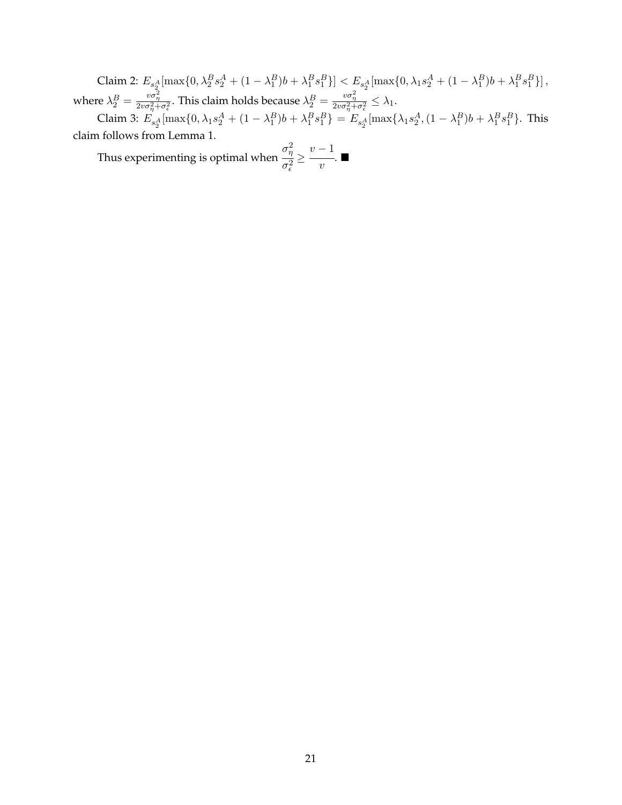Claim 2:  $E_{s_2^A}[\max\{0, \lambda_2^B s_2^A + (1 - \lambda_1^B)b + \lambda_1^B s_1^B\}] < E_{s_2^A}[\max\{0, \lambda_1 s_2^A + (1 - \lambda_1^B)b + \lambda_1^B s_1^B\}],$ where  $\lambda_2^B = \frac{v\sigma_\eta^2}{2v\sigma_\eta^2 + \sigma_\epsilon^2}$ . This claim holds because  $\lambda_2^B = \frac{v\sigma_\eta^2}{2v\sigma_\eta^2 + \sigma_\epsilon^2} \leq \lambda_1$ .

Claim 3:  $E_{s_2^A}[\max\{0, \lambda_1 s_2^A + (1 - \lambda_1^B)b + \lambda_1^B s_1^B\} = E_{s_2^A}[\max\{\lambda_1 s_2^A, (1 - \lambda_1^B)b + \lambda_1^B s_1^B\}$ . This claim follows from Lemma 1.

Thus experimenting is optimal when  $\sigma_\eta^2$  $\sigma_{\epsilon}^2$ ≥  $v-1$  $\frac{1}{v}$ .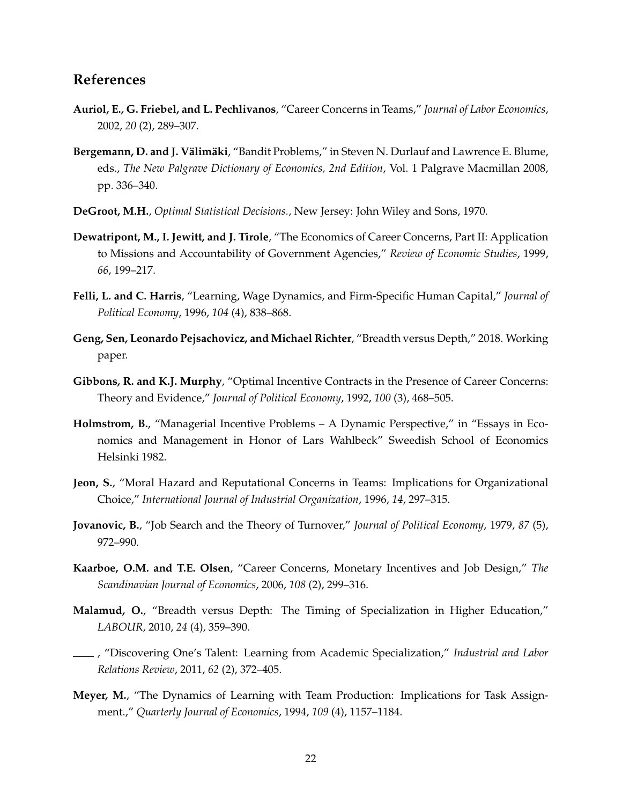## **References**

- **Auriol, E., G. Friebel, and L. Pechlivanos**, "Career Concerns in Teams," *Journal of Labor Economics*, 2002, *20* (2), 289–307.
- Bergemann, D. and J. Välimäki, "Bandit Problems," in Steven N. Durlauf and Lawrence E. Blume, eds., *The New Palgrave Dictionary of Economics, 2nd Edition*, Vol. 1 Palgrave Macmillan 2008, pp. 336–340.
- **DeGroot, M.H.**, *Optimal Statistical Decisions.*, New Jersey: John Wiley and Sons, 1970.
- **Dewatripont, M., I. Jewitt, and J. Tirole**, "The Economics of Career Concerns, Part II: Application to Missions and Accountability of Government Agencies," *Review of Economic Studies*, 1999, *66*, 199–217.
- **Felli, L. and C. Harris**, "Learning, Wage Dynamics, and Firm-Specific Human Capital," *Journal of Political Economy*, 1996, *104* (4), 838–868.
- **Geng, Sen, Leonardo Pejsachovicz, and Michael Richter**, "Breadth versus Depth," 2018. Working paper.
- **Gibbons, R. and K.J. Murphy**, "Optimal Incentive Contracts in the Presence of Career Concerns: Theory and Evidence," *Journal of Political Economy*, 1992, *100* (3), 468–505.
- **Holmstrom, B.**, "Managerial Incentive Problems A Dynamic Perspective," in "Essays in Economics and Management in Honor of Lars Wahlbeck" Sweedish School of Economics Helsinki 1982.
- **Jeon, S.**, "Moral Hazard and Reputational Concerns in Teams: Implications for Organizational Choice," *International Journal of Industrial Organization*, 1996, *14*, 297–315.
- **Jovanovic, B.**, "Job Search and the Theory of Turnover," *Journal of Political Economy*, 1979, *87* (5), 972–990.
- **Kaarboe, O.M. and T.E. Olsen**, "Career Concerns, Monetary Incentives and Job Design," *The Scandinavian Journal of Economics*, 2006, *108* (2), 299–316.
- **Malamud, O.**, "Breadth versus Depth: The Timing of Specialization in Higher Education," *LABOUR*, 2010, *24* (4), 359–390.
- , "Discovering One's Talent: Learning from Academic Specialization," *Industrial and Labor Relations Review*, 2011, *62* (2), 372–405.
- **Meyer, M.**, "The Dynamics of Learning with Team Production: Implications for Task Assignment.," *Quarterly Journal of Economics*, 1994, *109* (4), 1157–1184.